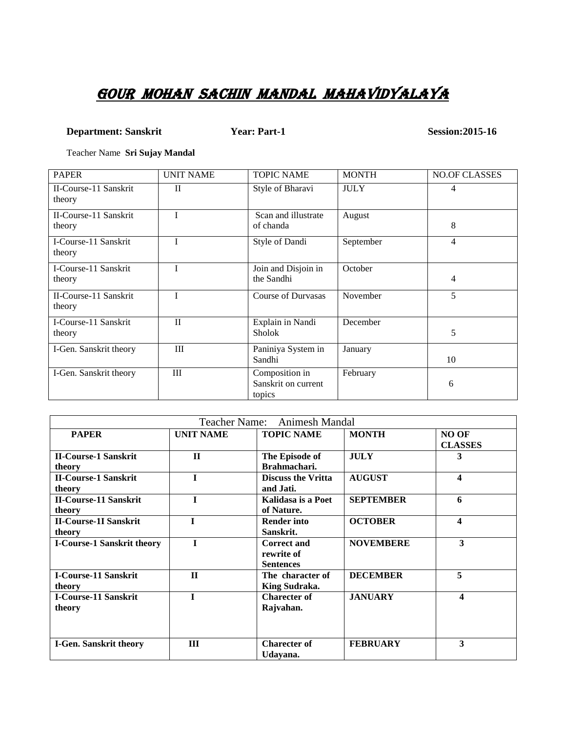## GOUR MOHAN SACHIN MANDAL MAHAVIDYALAYA

### **Department: Sanskrit Year: Part-1 Session:2015-16**

Teacher Name **Sri Sujay Mandal**

| <b>PAPER</b>                    | <b>UNIT NAME</b> | <b>TOPIC NAME</b>                               | <b>MONTH</b> | <b>NO.OF CLASSES</b> |
|---------------------------------|------------------|-------------------------------------------------|--------------|----------------------|
| II-Course-11 Sanskrit<br>theory | $\mathbf{I}$     | Style of Bharavi                                | <b>JULY</b>  | 4                    |
| II-Course-11 Sanskrit<br>theory |                  | Scan and illustrate<br>of chanda                | August       | 8                    |
| I-Course-11 Sanskrit<br>theory  | T                | Style of Dandi                                  | September    | $\overline{4}$       |
| I-Course-11 Sanskrit<br>theory  |                  | Join and Disjoin in<br>the Sandhi               | October      | 4                    |
| II-Course-11 Sanskrit<br>theory |                  | <b>Course of Durvasas</b>                       | November     | 5                    |
| I-Course-11 Sanskrit<br>theory  | $\mathbf{I}$     | Explain in Nandi<br><b>Sholok</b>               | December     | 5                    |
| I-Gen. Sanskrit theory          | III              | Paniniya System in<br>Sandhi                    | January      | 10                   |
| I-Gen. Sanskrit theory          | Ш                | Composition in<br>Sanskrit on current<br>topics | February     | 6                    |

| Teacher Name: Animesh Mandal      |                  |                           |                  |                         |
|-----------------------------------|------------------|---------------------------|------------------|-------------------------|
| <b>PAPER</b>                      | <b>UNIT NAME</b> | <b>TOPIC NAME</b>         | <b>MONTH</b>     | <b>NO OF</b>            |
|                                   |                  |                           |                  | <b>CLASSES</b>          |
| <b>II-Course-1 Sanskrit</b>       | $\Pi$            | The Episode of            | <b>JULY</b>      | 3                       |
| theory                            |                  | Brahmachari.              |                  |                         |
| <b>II-Course-1 Sanskrit</b>       | $\mathbf{I}$     | <b>Discuss the Vritta</b> | <b>AUGUST</b>    | 4                       |
| theory                            |                  | and Jati.                 |                  |                         |
| <b>II-Course-11 Sanskrit</b>      |                  | Kalidasa is a Poet        | <b>SEPTEMBER</b> | 6                       |
| theory                            |                  | of Nature.                |                  |                         |
| <b>II-Course-1I Sanskrit</b>      | T                | <b>Render into</b>        | <b>OCTOBER</b>   | $\overline{\mathbf{4}}$ |
| theory                            |                  | Sanskrit.                 |                  |                         |
| <b>I-Course-1 Sanskrit theory</b> | T                | <b>Correct and</b>        | <b>NOVEMBERE</b> | 3                       |
|                                   |                  | rewrite of                |                  |                         |
|                                   |                  | <b>Sentences</b>          |                  |                         |
| <b>I-Course-11 Sanskrit</b>       | $\mathbf{H}$     | The character of          | <b>DECEMBER</b>  | 5                       |
| theory                            |                  | King Sudraka.             |                  |                         |
| <b>I-Course-11 Sanskrit</b>       | I                | <b>Charecter of</b>       | <b>JANUARY</b>   | 4                       |
| theory                            |                  | Rajvahan.                 |                  |                         |
|                                   |                  |                           |                  |                         |
|                                   |                  |                           |                  |                         |
| <b>I-Gen. Sanskrit theory</b>     | III              | <b>Charecter of</b>       | <b>FEBRUARY</b>  | 3                       |
|                                   |                  | Udayana.                  |                  |                         |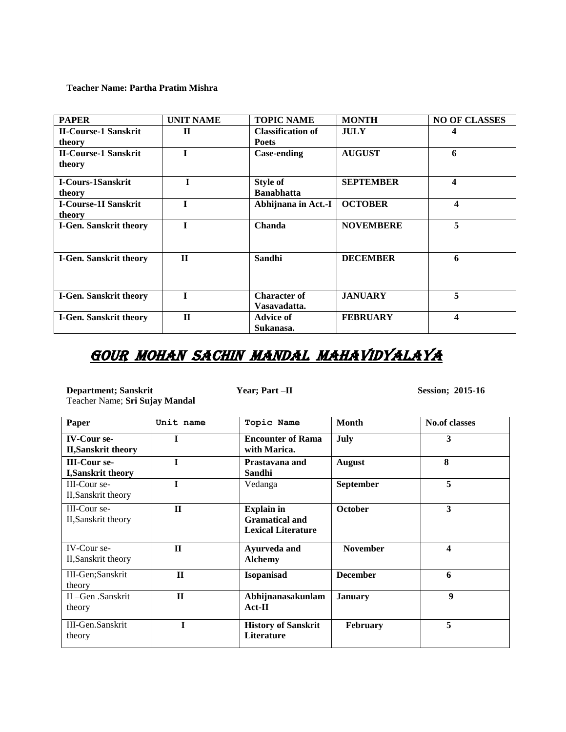**Teacher Name: Partha Pratim Mishra**

| <b>PAPER</b>                  | <b>UNIT NAME</b> | <b>TOPIC NAME</b>        | <b>MONTH</b>     | <b>NO OF CLASSES</b> |
|-------------------------------|------------------|--------------------------|------------------|----------------------|
| <b>II-Course-1 Sanskrit</b>   | $\mathbf H$      | <b>Classification of</b> | <b>JULY</b>      | 4                    |
| theory                        |                  | <b>Poets</b>             |                  |                      |
| <b>II-Course-1 Sanskrit</b>   |                  | <b>Case-ending</b>       | <b>AUGUST</b>    | 6                    |
| theory                        |                  |                          |                  |                      |
| <b>I-Cours-1Sanskrit</b>      | T                | <b>Style of</b>          | <b>SEPTEMBER</b> | $\boldsymbol{4}$     |
| theory                        |                  | <b>Banabhatta</b>        |                  |                      |
| <b>I-Course-1I Sanskrit</b>   |                  | Abhijnana in Act.-I      | <b>OCTOBER</b>   | 4                    |
| theory                        |                  |                          |                  |                      |
| <b>I-Gen. Sanskrit theory</b> |                  | Chanda                   | <b>NOVEMBERE</b> | 5                    |
|                               |                  |                          |                  |                      |
| <b>I-Gen. Sanskrit theory</b> | $\Pi$            | Sandhi                   | <b>DECEMBER</b>  | 6                    |
|                               |                  |                          |                  |                      |
|                               |                  |                          |                  |                      |
| <b>I-Gen. Sanskrit theory</b> |                  | <b>Character of</b>      | <b>JANUARY</b>   | 5                    |
|                               |                  | Vasavadatta.             |                  |                      |
| <b>I-Gen. Sanskrit theory</b> | $\Pi$            | Advice of                | <b>FEBRUARY</b>  | 4                    |
|                               |                  | Sukanasa.                |                  |                      |

# GOUR MOHAN SACHIN MANDAL MAHAVIDYALAYA

**Department; Sanskrit Year; Part –II Session; 2015-16** Teacher Name; **Sri Sujay Mandal**

| Paper                                            | Unit name    | Topic Name                                                              | Month           | <b>No.of classes</b> |
|--------------------------------------------------|--------------|-------------------------------------------------------------------------|-----------------|----------------------|
| <b>IV-Cour se-</b><br><b>II, Sanskrit theory</b> |              | <b>Encounter of Rama</b><br>with Marica.                                | <b>July</b>     | 3                    |
| <b>III-Cour se-</b><br><b>I, Sanskrit theory</b> |              | Prastavana and<br>Sandhi                                                | <b>August</b>   | 8                    |
| III-Cour se-<br>II, Sanskrit theory              |              | Vedanga                                                                 | September       | 5                    |
| III-Cour se-<br>II, Sanskrit theory              | $\Pi$        | <b>Explain in</b><br><b>Gramatical and</b><br><b>Lexical Literature</b> | <b>October</b>  | 3                    |
| IV-Cour se-<br>II, Sanskrit theory               | $\Pi$        | Ayurveda and<br><b>Alchemy</b>                                          | <b>November</b> | 4                    |
| III-Gen;Sanskrit<br>theory                       | $\mathbf{H}$ | Isopanisad                                                              | <b>December</b> | 6                    |
| II-Gen Sanskrit<br>theory                        | $\Pi$        | Abhijnanasakunlam<br>$Act-II$                                           | <b>January</b>  | $\boldsymbol{Q}$     |
| III-Gen.Sanskrit<br>theory                       | T            | <b>History of Sanskrit</b><br><b>Literature</b>                         | <b>February</b> | 5                    |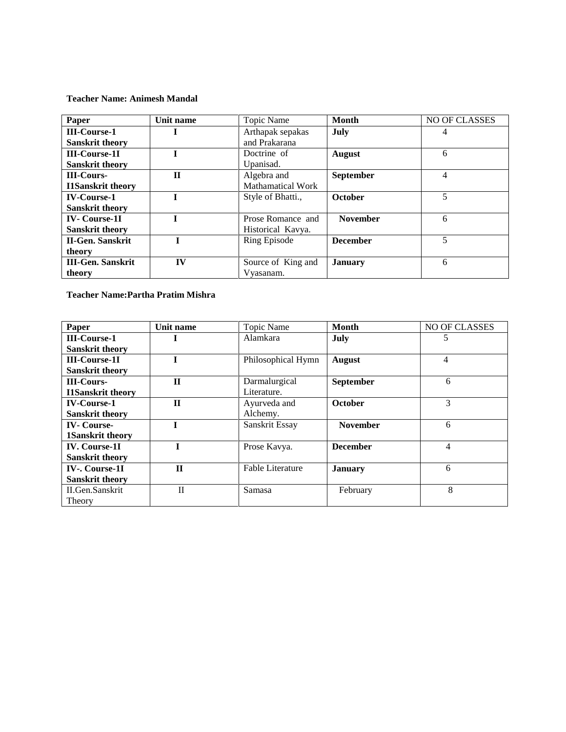**Teacher Name: Animesh Mandal**

| Paper                    | Unit name    | Topic Name               | <b>Month</b>     | NO OF CLASSES |
|--------------------------|--------------|--------------------------|------------------|---------------|
| <b>III-Course-1</b>      |              | Arthapak sepakas         | July             | 4             |
| <b>Sanskrit theory</b>   |              | and Prakarana            |                  |               |
| <b>III-Course-1I</b>     |              | Doctrine of              | <b>August</b>    | 6             |
| <b>Sanskrit theory</b>   |              | Upanisad.                |                  |               |
| <b>III-Cours-</b>        | $\mathbf{I}$ | Algebra and              | <b>September</b> | 4             |
| <b>I1Sanskrit theory</b> |              | <b>Mathamatical Work</b> |                  |               |
| <b>IV-Course-1</b>       |              | Style of Bhatti.,        | <b>October</b>   | 5             |
| <b>Sanskrit theory</b>   |              |                          |                  |               |
| <b>IV-Course-1I</b>      |              | Prose Romance and        | <b>November</b>  | 6             |
| <b>Sanskrit theory</b>   |              | Historical Kavya.        |                  |               |
| <b>II-Gen. Sanskrit</b>  |              | <b>Ring Episode</b>      | <b>December</b>  | 5             |
| theory                   |              |                          |                  |               |
| <b>III-Gen. Sanskrit</b> | IV           | Source of King and       | <b>January</b>   | 6             |
| theory                   |              | Vyasanam.                |                  |               |

**Teacher Name:Partha Pratim Mishra**

| Paper                    | Unit name    | Topic Name         | <b>Month</b>     | NO OF CLASSES  |
|--------------------------|--------------|--------------------|------------------|----------------|
| <b>III-Course-1</b>      |              | Alamkara           | July             | 5              |
| <b>Sanskrit theory</b>   |              |                    |                  |                |
| <b>III-Course-1I</b>     |              | Philosophical Hymn | <b>August</b>    | $\overline{4}$ |
| <b>Sanskrit theory</b>   |              |                    |                  |                |
| <b>III-Cours-</b>        | $_{\rm II}$  | Darmalurgical      | <b>September</b> | 6              |
| <b>I1Sanskrit theory</b> |              | Literature.        |                  |                |
| <b>IV-Course-1</b>       | $\mathbf H$  | Ayurveda and       | <b>October</b>   | 3              |
| <b>Sanskrit theory</b>   |              | Alchemy.           |                  |                |
| <b>IV-Course-</b>        |              | Sanskrit Essay     | <b>November</b>  | 6              |
| 1Sanskrit theory         |              |                    |                  |                |
| <b>IV.</b> Course-11     |              | Prose Kavya.       | <b>December</b>  | 4              |
| <b>Sanskrit theory</b>   |              |                    |                  |                |
| <b>IV-. Course-1I</b>    | $\Pi$        | Fable Literature   | <b>January</b>   | 6              |
| <b>Sanskrit theory</b>   |              |                    |                  |                |
| II.Gen.Sanskrit          | $\mathbf{I}$ | Samasa             | February         | 8              |
| Theory                   |              |                    |                  |                |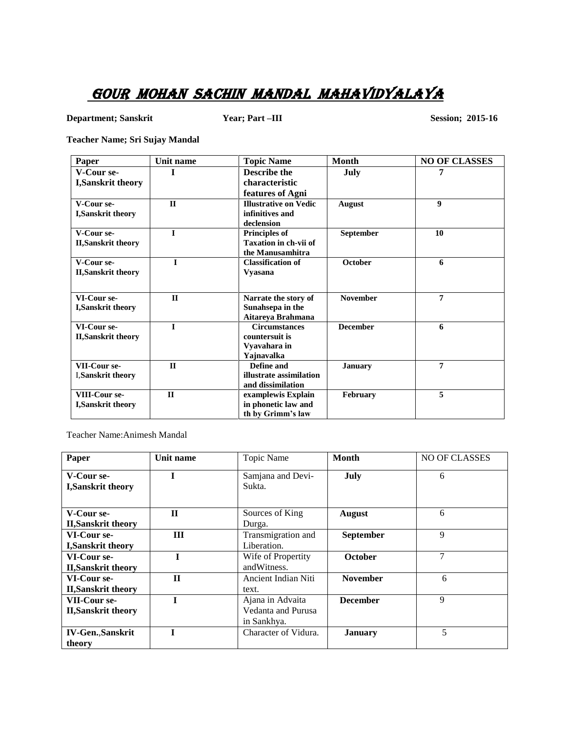### GOUR MOHAN SACHIN MANDAL MAHAVIDYALAYA

**Department; Sanskrit Year; Part –III Session; 2015-16** 

**Teacher Name; Sri Sujay Mandal** 

| Paper                      | Unit name    | <b>Topic Name</b>            | <b>Month</b>    | <b>NO OF CLASSES</b> |
|----------------------------|--------------|------------------------------|-----------------|----------------------|
| V-Cour se-                 | Т            | <b>Describe the</b>          | July            | 7                    |
| I, Sanskrit theory         |              | characteristic               |                 |                      |
|                            |              | features of Agni             |                 |                      |
| V-Cour se-                 | $\mathbf{H}$ | <b>Illustrative on Vedic</b> | <b>August</b>   | 9                    |
| I,Sanskrit theory          |              | infinitives and              |                 |                      |
|                            |              | declension                   |                 |                      |
| V-Cour se-                 | $\mathbf{I}$ | Principles of                | September       | 10                   |
| <b>II, Sanskrit theory</b> |              | Taxation in ch-vii of        |                 |                      |
|                            |              | the Manusamhitra             |                 |                      |
| V-Cour se-                 | T            | <b>Classification of</b>     | <b>October</b>  | 6                    |
| <b>II, Sanskrit theory</b> |              | <b>Vyasana</b>               |                 |                      |
|                            |              |                              |                 |                      |
| VI-Cour se-                | $\mathbf{I}$ | Narrate the story of         | <b>November</b> | $\overline{7}$       |
| I, Sanskrit theory         |              | Sunahsepa in the             |                 |                      |
|                            |              | Aitareya Brahmana            |                 |                      |
| VI-Cour se-                | $\mathbf{I}$ | <b>Circumstances</b>         | <b>December</b> | 6                    |
| <b>II, Sanskrit theory</b> |              | countersuit is               |                 |                      |
|                            |              | Vyavahara in                 |                 |                      |
|                            |              | Yajnavalka                   |                 |                      |
| VII-Cour se-               | $\mathbf{I}$ | Define and                   | <b>January</b>  | $\overline{7}$       |
| <b>I, Sanskrit theory</b>  |              | illustrate assimilation      |                 |                      |
|                            |              | and dissimilation            |                 |                      |
| VIII-Cour se-              | $\mathbf{H}$ | examplewis Explain           | <b>February</b> | 5                    |
| <b>I, Sanskrit theory</b>  |              | in phonetic law and          |                 |                      |
|                            |              | th by Grimm's law            |                 |                      |

Teacher Name:Animesh Mandal

| Paper                                   | Unit name    | Topic Name                  | <b>Month</b>    | <b>NO OF CLASSES</b> |
|-----------------------------------------|--------------|-----------------------------|-----------------|----------------------|
| V-Cour se-<br><b>I, Sanskrit theory</b> |              | Samjana and Devi-<br>Sukta. | July            | 6                    |
| V-Cour se-                              | $\mathbf{H}$ | Sources of King             | <b>August</b>   | 6                    |
| <b>II, Sanskrit theory</b>              |              | Durga.                      |                 |                      |
| VI-Cour se-                             | Ш            | Transmigration and          | September       | 9                    |
| <b>I, Sanskrit theory</b>               |              | Liberation.                 |                 |                      |
| VI-Cour se-                             |              | Wife of Propertity          | <b>October</b>  | $\overline{7}$       |
| <b>II, Sanskrit theory</b>              |              | and Witness.                |                 |                      |
| VI-Cour se-                             | $\mathbf{H}$ | Ancient Indian Niti         | <b>November</b> | 6                    |
| <b>II, Sanskrit theory</b>              |              | text.                       |                 |                      |
| VII-Cour se-                            | T            | Ajana in Advaita            | <b>December</b> | 9                    |
| <b>II, Sanskrit theory</b>              |              | <b>Vedanta and Purusa</b>   |                 |                      |
|                                         |              | in Sankhya.                 |                 |                      |
| <b>IV-Gen., Sanskrit</b>                |              | Character of Vidura.        | <b>January</b>  | 5                    |
| theory                                  |              |                             |                 |                      |